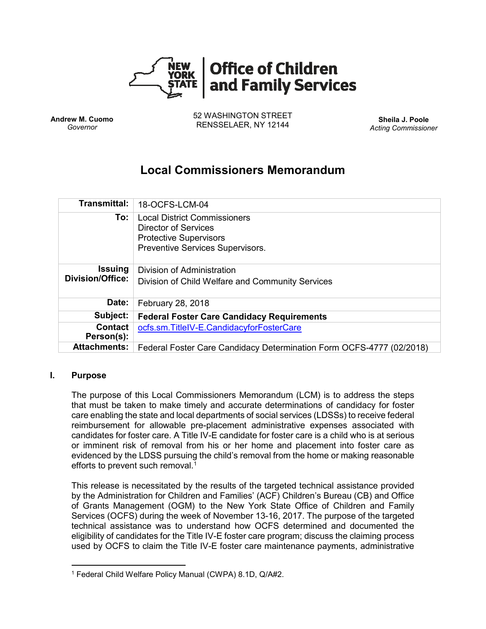

**Andrew M. Cuomo** *Governor*

52 WASHINGTON STREET RENSSELAER, NY 12144 **Sheila J. Poole**

*Acting Commissioner*

# **Local Commissioners Memorandum**

| <b>Transmittal:</b>                       | 18-OCFS-LCM-04                                                                                                                   |
|-------------------------------------------|----------------------------------------------------------------------------------------------------------------------------------|
| To:                                       | <b>Local District Commissioners</b><br>Director of Services<br><b>Protective Supervisors</b><br>Preventive Services Supervisors. |
| <b>Issuing</b><br><b>Division/Office:</b> | Division of Administration<br>Division of Child Welfare and Community Services                                                   |
| Date:                                     | February 28, 2018                                                                                                                |
| Subject:                                  | <b>Federal Foster Care Candidacy Requirements</b>                                                                                |
| <b>Contact</b><br>Person(s):              | ocfs.sm.TitleIV-E.CandidacyforFosterCare                                                                                         |
| <b>Attachments:</b>                       | Federal Foster Care Candidacy Determination Form OCFS-4777 (02/2018)                                                             |

#### **I. Purpose**

 $\overline{\phantom{a}}$ 

The purpose of this Local Commissioners Memorandum (LCM) is to address the steps that must be taken to make timely and accurate determinations of candidacy for foster care enabling the state and local departments of social services (LDSSs) to receive federal reimbursement for allowable pre-placement administrative expenses associated with candidates for foster care. A Title IV-E candidate for foster care is a child who is at serious or imminent risk of removal from his or her home and placement into foster care as evidenced by the LDSS pursuing the child's removal from the home or making reasonable efforts to prevent such removal.<sup>1</sup>

This release is necessitated by the results of the targeted technical assistance provided by the Administration for Children and Families' (ACF) Children's Bureau (CB) and Office of Grants Management (OGM) to the New York State Office of Children and Family Services (OCFS) during the week of November 13-16, 2017. The purpose of the targeted technical assistance was to understand how OCFS determined and documented the eligibility of candidates for the Title IV-E foster care program; discuss the claiming process used by OCFS to claim the Title IV-E foster care maintenance payments, administrative

<sup>1</sup> Federal Child Welfare Policy Manual (CWPA) 8.1D, Q/A#2.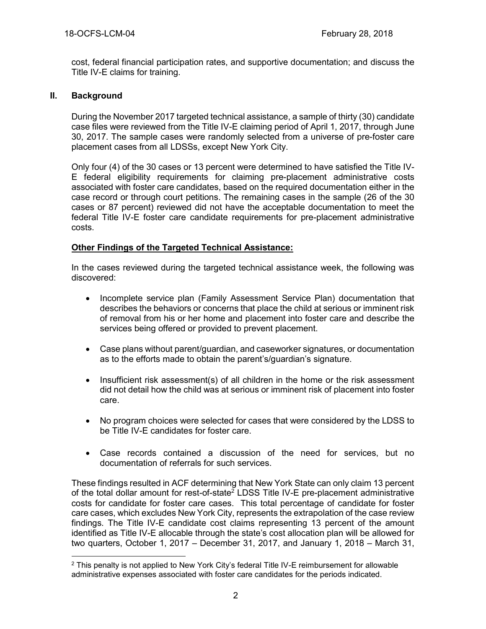cost, federal financial participation rates, and supportive documentation; and discuss the Title IV-E claims for training.

## **II. Background**

During the November 2017 targeted technical assistance, a sample of thirty (30) candidate case files were reviewed from the Title IV-E claiming period of April 1, 2017, through June 30, 2017. The sample cases were randomly selected from a universe of pre-foster care placement cases from all LDSSs, except New York City.

Only four (4) of the 30 cases or 13 percent were determined to have satisfied the Title IV-E federal eligibility requirements for claiming pre-placement administrative costs associated with foster care candidates, based on the required documentation either in the case record or through court petitions. The remaining cases in the sample (26 of the 30 cases or 87 percent) reviewed did not have the acceptable documentation to meet the federal Title IV-E foster care candidate requirements for pre-placement administrative costs.

## **Other Findings of the Targeted Technical Assistance:**

In the cases reviewed during the targeted technical assistance week, the following was discovered:

- Incomplete service plan (Family Assessment Service Plan) documentation that describes the behaviors or concerns that place the child at serious or imminent risk of removal from his or her home and placement into foster care and describe the services being offered or provided to prevent placement.
- Case plans without parent/guardian, and caseworker signatures, or documentation as to the efforts made to obtain the parent's/guardian's signature.
- Insufficient risk assessment(s) of all children in the home or the risk assessment did not detail how the child was at serious or imminent risk of placement into foster care.
- No program choices were selected for cases that were considered by the LDSS to be Title IV-E candidates for foster care.
- Case records contained a discussion of the need for services, but no documentation of referrals for such services.

These findings resulted in ACF determining that New York State can only claim 13 percent of the total dollar amount for rest-of-state<sup>2</sup> LDSS Title IV-E pre-placement administrative costs for candidate for foster care cases. This total percentage of candidate for foster care cases, which excludes New York City, represents the extrapolation of the case review findings. The Title IV-E candidate cost claims representing 13 percent of the amount identified as Title IV-E allocable through the state's cost allocation plan will be allowed for two quarters, October 1, 2017 – December 31, 2017, and January 1, 2018 – March 31,

 $\overline{a}$ <sup>2</sup> This penalty is not applied to New York City's federal Title IV-E reimbursement for allowable administrative expenses associated with foster care candidates for the periods indicated.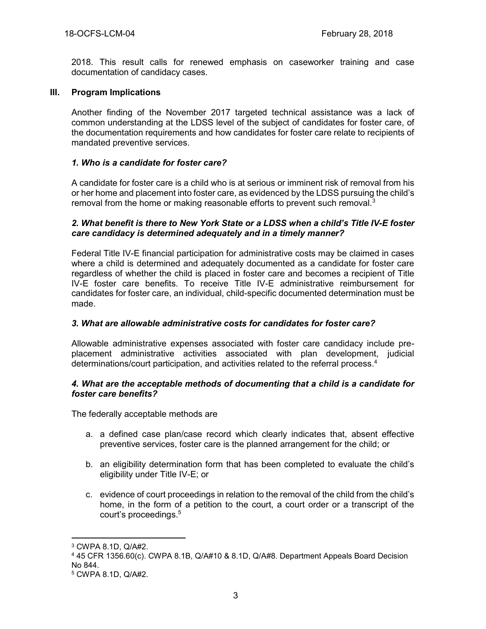2018. This result calls for renewed emphasis on caseworker training and case documentation of candidacy cases.

#### **III. Program Implications**

Another finding of the November 2017 targeted technical assistance was a lack of common understanding at the LDSS level of the subject of candidates for foster care, of the documentation requirements and how candidates for foster care relate to recipients of mandated preventive services.

## *1. Who is a candidate for foster care?*

A candidate for foster care is a child who is at serious or imminent risk of removal from his or her home and placement into foster care, as evidenced by the LDSS pursuing the child's removal from the home or making reasonable efforts to prevent such removal.<sup>3</sup>

#### *2. What benefit is there to New York State or a LDSS when a child's Title IV-E foster care candidacy is determined adequately and in a timely manner?*

Federal Title IV-E financial participation for administrative costs may be claimed in cases where a child is determined and adequately documented as a candidate for foster care regardless of whether the child is placed in foster care and becomes a recipient of Title IV-E foster care benefits. To receive Title IV-E administrative reimbursement for candidates for foster care, an individual, child-specific documented determination must be made.

# *3. What are allowable administrative costs for candidates for foster care?*

Allowable administrative expenses associated with foster care candidacy include preplacement administrative activities associated with plan development, judicial determinations/court participation, and activities related to the referral process. 4

#### *4. What are the acceptable methods of documenting that a child is a candidate for foster care benefits?*

The federally acceptable methods are

- a. a defined case plan/case record which clearly indicates that, absent effective preventive services, foster care is the planned arrangement for the child; or
- b. an eligibility determination form that has been completed to evaluate the child's eligibility under Title IV-E; or
- c. evidence of court proceedings in relation to the removal of the child from the child's home, in the form of a petition to the court, a court order or a transcript of the court's proceedings.<sup>5</sup>

 $\overline{a}$ 

<sup>3</sup> CWPA 8.1D, Q/A#2.

<sup>4</sup> 45 CFR 1356.60(c). CWPA 8.1B, Q/A#10 & 8.1D, Q/A#8. Department Appeals Board Decision No 844.

<sup>5</sup> CWPA 8.1D, Q/A#2.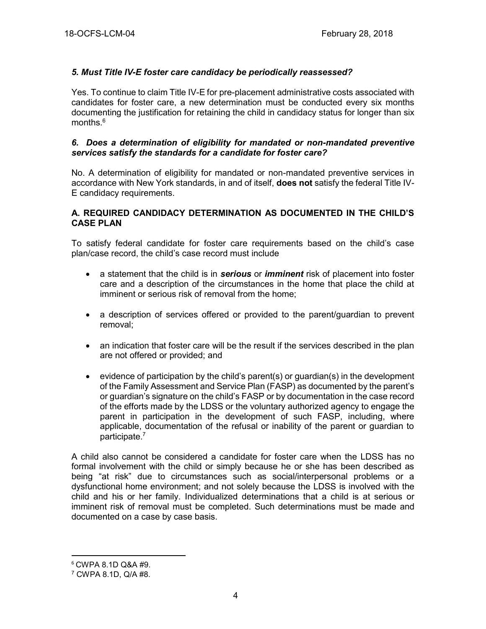# *5. Must Title IV-E foster care candidacy be periodically reassessed?*

Yes. To continue to claim Title IV-E for pre-placement administrative costs associated with candidates for foster care, a new determination must be conducted every six months documenting the justification for retaining the child in candidacy status for longer than six months. 6

#### *6. Does a determination of eligibility for mandated or non-mandated preventive services satisfy the standards for a candidate for foster care?*

No. A determination of eligibility for mandated or non-mandated preventive services in accordance with New York standards, in and of itself, **does not** satisfy the federal Title IV-E candidacy requirements.

#### **A. REQUIRED CANDIDACY DETERMINATION AS DOCUMENTED IN THE CHILD'S CASE PLAN**

To satisfy federal candidate for foster care requirements based on the child's case plan/case record, the child's case record must include

- a statement that the child is in *serious* or *imminent* risk of placement into foster care and a description of the circumstances in the home that place the child at imminent or serious risk of removal from the home;
- a description of services offered or provided to the parent/guardian to prevent removal;
- an indication that foster care will be the result if the services described in the plan are not offered or provided; and
- evidence of participation by the child's parent(s) or guardian(s) in the development of the Family Assessment and Service Plan (FASP) as documented by the parent's or guardian's signature on the child's FASP or by documentation in the case record of the efforts made by the LDSS or the voluntary authorized agency to engage the parent in participation in the development of such FASP, including, where applicable, documentation of the refusal or inability of the parent or guardian to participate. 7

A child also cannot be considered a candidate for foster care when the LDSS has no formal involvement with the child or simply because he or she has been described as being "at risk" due to circumstances such as social/interpersonal problems or a dysfunctional home environment; and not solely because the LDSS is involved with the child and his or her family. Individualized determinations that a child is at serious or imminent risk of removal must be completed. Such determinations must be made and documented on a case by case basis.

 $\overline{\phantom{a}}$ 

<sup>6</sup> CWPA 8.1D Q&A #9.

<sup>7</sup> CWPA 8.1D, Q/A #8.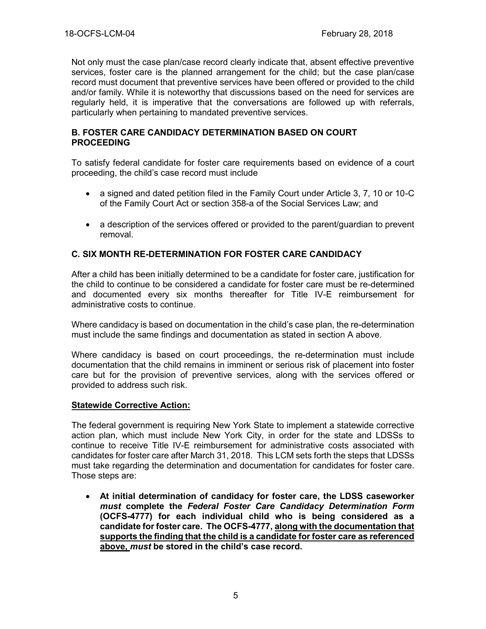Not only must the case plan/case record clearly indicate that, absent effective preventive services, foster care is the planned arrangement for the child; but the case plan/case record must document that preventive services have been offered or provided to the child and/or family. While it is noteworthy that discussions based on the need for services are regularly held, it is imperative that the conversations are followed up with referrals, particularly when pertaining to mandated preventive services.

#### **B. FOSTER CARE CANDIDACY DETERMINATION BASED ON COURT PROCEEDING**

To satisfy federal candidate for foster care requirements based on evidence of a court proceeding, the child's case record must include

- a signed and dated petition filed in the Family Court under Article 3, 7, 10 or 10-C of the Family Court Act or section 358-a of the Social Services Law; and
- a description of the services offered or provided to the parent/quardian to prevent removal.

## **C. SIX MONTH RE-DETERMINATION FOR FOSTER CARE CANDIDACY**

After a child has been initially determined to be a candidate for foster care, justification for the child to continue to be considered a candidate for foster care must be re-determined and documented every six months thereafter for Title IV-E reimbursement for administrative costs to continue.

Where candidacy is based on documentation in the child's case plan, the re-determination must include the same findings and documentation as stated in section A above.

Where candidacy is based on court proceedings, the re-determination must include documentation that the child remains in imminent or serious risk of placement into foster care but for the provision of preventive services, along with the services offered or provided to address such risk.

#### **Statewide Corrective Action:**

The federal government is requiring New York State to implement a statewide corrective action plan, which must include New York City, in order for the state and LDSSs to continue to receive Title IV-E reimbursement for administrative costs associated with candidates for foster care after March 31, 2018. This LCM sets forth the steps that LDSSs must take regarding the determination and documentation for candidates for foster care. Those steps are:

• **At initial determination of candidacy for foster care, the LDSS caseworker**  *must* **complete the** *Federal Foster Care Candidacy Determination Form*  **(OCFS-4777) for each individual child who is being considered as a candidate for foster care. The OCFS-4777, along with the documentation that supports the finding that the child is a candidate for foster care as referenced above,** *must* **be stored in the child's case record.**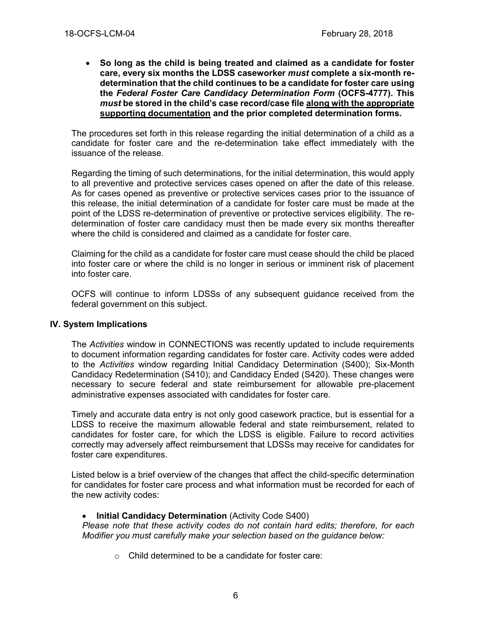• **So long as the child is being treated and claimed as a candidate for foster care, every six months the LDSS caseworker** *must* **complete a six-month redetermination that the child continues to be a candidate for foster care using the** *Federal Foster Care Candidacy Determination Form* **(OCFS-4777). This**  *must* **be stored in the child's case record/case file along with the appropriate supporting documentation and the prior completed determination forms.**

The procedures set forth in this release regarding the initial determination of a child as a candidate for foster care and the re-determination take effect immediately with the issuance of the release.

Regarding the timing of such determinations, for the initial determination, this would apply to all preventive and protective services cases opened on after the date of this release. As for cases opened as preventive or protective services cases prior to the issuance of this release, the initial determination of a candidate for foster care must be made at the point of the LDSS re-determination of preventive or protective services eligibility. The redetermination of foster care candidacy must then be made every six months thereafter where the child is considered and claimed as a candidate for foster care.

Claiming for the child as a candidate for foster care must cease should the child be placed into foster care or where the child is no longer in serious or imminent risk of placement into foster care.

OCFS will continue to inform LDSSs of any subsequent guidance received from the federal government on this subject.

#### **IV. System Implications**

The *Activities* window in CONNECTIONS was recently updated to include requirements to document information regarding candidates for foster care. Activity codes were added to the *Activities* window regarding Initial Candidacy Determination (S400); Six-Month Candidacy Redetermination (S410); and Candidacy Ended (S420). These changes were necessary to secure federal and state reimbursement for allowable pre-placement administrative expenses associated with candidates for foster care.

Timely and accurate data entry is not only good casework practice, but is essential for a LDSS to receive the maximum allowable federal and state reimbursement, related to candidates for foster care, for which the LDSS is eligible. Failure to record activities correctly may adversely affect reimbursement that LDSSs may receive for candidates for foster care expenditures.

Listed below is a brief overview of the changes that affect the child-specific determination for candidates for foster care process and what information must be recorded for each of the new activity codes:

#### **Initial Candidacy Determination** (Activity Code S400)

*Please note that these activity codes do not contain hard edits; therefore, for each Modifier you must carefully make your selection based on the guidance below:*

o Child determined to be a candidate for foster care: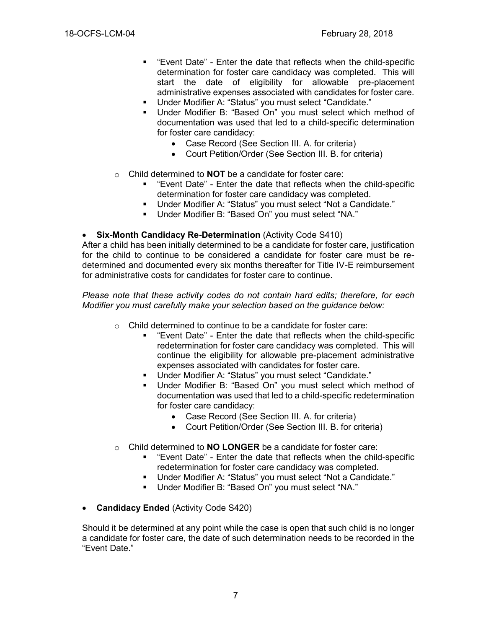- "Event Date" Enter the date that reflects when the child-specific determination for foster care candidacy was completed. This will start the date of eligibility for allowable pre-placement administrative expenses associated with candidates for foster care.
- Under Modifier A: "Status" you must select "Candidate."
- Under Modifier B: "Based On" you must select which method of documentation was used that led to a child-specific determination for foster care candidacy:
	- Case Record (See Section III. A. for criteria)
	- Court Petition/Order (See Section III. B. for criteria)
- o Child determined to **NOT** be a candidate for foster care:
	- "Event Date" Enter the date that reflects when the child-specific determination for foster care candidacy was completed.
	- Under Modifier A: "Status" you must select "Not a Candidate."
	- Under Modifier B: "Based On" you must select "NA."

#### • **Six-Month Candidacy Re-Determination** (Activity Code S410)

After a child has been initially determined to be a candidate for foster care, justification for the child to continue to be considered a candidate for foster care must be redetermined and documented every six months thereafter for Title IV-E reimbursement for administrative costs for candidates for foster care to continue.

*Please note that these activity codes do not contain hard edits; therefore, for each Modifier you must carefully make your selection based on the guidance below:*

- o Child determined to continue to be a candidate for foster care:
	- "Event Date" Enter the date that reflects when the child-specific redetermination for foster care candidacy was completed. This will continue the eligibility for allowable pre-placement administrative expenses associated with candidates for foster care.
	- Under Modifier A: "Status" you must select "Candidate."
	- Under Modifier B: "Based On" you must select which method of documentation was used that led to a child-specific redetermination for foster care candidacy:
		- Case Record (See Section III. A. for criteria)
		- Court Petition/Order (See Section III. B. for criteria)
- o Child determined to **NO LONGER** be a candidate for foster care:
	- "Event Date" Enter the date that reflects when the child-specific redetermination for foster care candidacy was completed.
	- Under Modifier A: "Status" you must select "Not a Candidate."
	- Under Modifier B: "Based On" you must select "NA."
- **Candidacy Ended** (Activity Code S420)

Should it be determined at any point while the case is open that such child is no longer a candidate for foster care, the date of such determination needs to be recorded in the "Event Date."